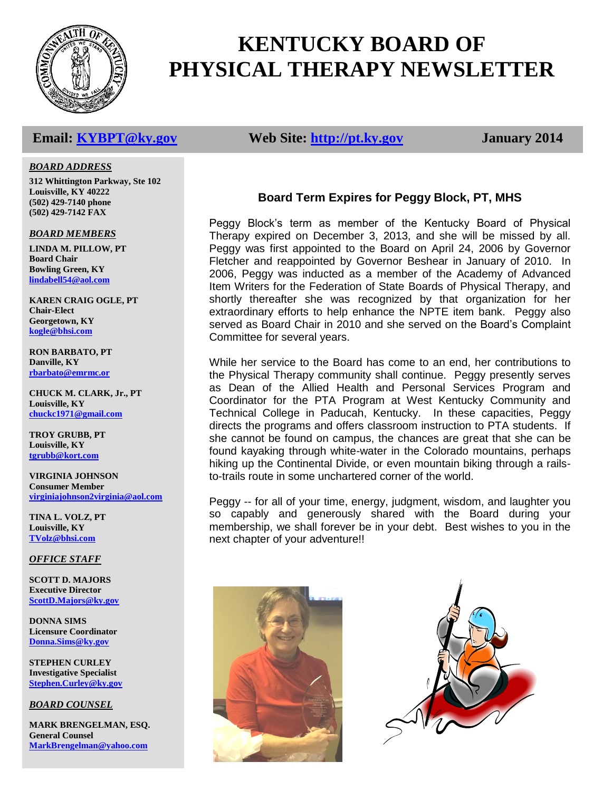

# **KENTUCKY BOARD OF PHYSICAL THERAPY NEWSLETTER**

# **Email: [KYBPT@ky.gov](mailto:KYBPT@ky.gov) Web Site: [http://pt.ky.gov](http://pt.ky.gov/) January 2014**

#### *BOARD ADDRESS*

**312 Whittington Parkway, Ste 102 Louisville, KY 40222 (502) 429-7140 phone (502) 429-7142 FAX**

*BOARD MEMBERS*

**LINDA M. PILLOW, PT Board Chair Bowling Green, KY [lindabell54@aol.com](mailto:blainpt@netzero.net)**

**KAREN CRAIG OGLE, PT Chair-Elect Georgetown, KY [kogle@bhsi.com](mailto:kogle@bhsi.com)**

**RON BARBATO, PT Danville, KY [rbarbato@emrmc.or](mailto:rbarbato@emrmc.or)**

**CHUCK M. CLARK, Jr., PT Louisville, KY [chuckc1971@gmail.com](mailto:chuckc1971@gmail.com)**

**TROY GRUBB, PT Louisville, KY [tgrubb@kort.com](mailto:tgrubb@kort.com)**

**VIRGINIA JOHNSON Consumer Member [virginiajohnson2virginia@aol.com](mailto:vjohnson14769@yahoo.com)**

**TINA L. VOLZ, PT Louisville, KY [TVolz@bhsi.com](mailto:TVolz@bhsi.com)**

*OFFICE STAFF*

**SCOTT D. MAJORS Executive Director [ScottD.Majors@ky.gov](mailto:ScottD.Majors@ky.gov)**

**DONNA SIMS Licensure Coordinator [Donna.Sims@ky.gov](mailto:Donna.Sims@ky.gov)**

**STEPHEN CURLEY Investigative Specialist [Stephen.Curley@ky.gov](mailto:Stephen.Curley@ky.gov)**

*BOARD COUNSEL*

**MARK BRENGELMAN, ESQ. General Counsel [MarkBrengelman@yahoo.com](mailto:MarkBrengelman@yahoo.com)**

# **Board Term Expires for Peggy Block, PT, MHS**

Peggy Block's term as member of the Kentucky Board of Physical Therapy expired on December 3, 2013, and she will be missed by all. Peggy was first appointed to the Board on April 24, 2006 by Governor Fletcher and reappointed by Governor Beshear in January of 2010. In 2006, Peggy was inducted as a member of the Academy of Advanced Item Writers for the Federation of State Boards of Physical Therapy, and shortly thereafter she was recognized by that organization for her extraordinary efforts to help enhance the NPTE item bank. Peggy also served as Board Chair in 2010 and she served on the Board's Complaint Committee for several years.

While her service to the Board has come to an end, her contributions to the Physical Therapy community shall continue. Peggy presently serves as Dean of the Allied Health and Personal Services Program and Coordinator for the PTA Program at West Kentucky Community and Technical College in Paducah, Kentucky. In these capacities, Peggy directs the programs and offers classroom instruction to PTA students. If she cannot be found on campus, the chances are great that she can be found kayaking through white-water in the Colorado mountains, perhaps hiking up the Continental Divide, or even mountain biking through a railsto-trails route in some unchartered corner of the world.

Peggy -- for all of your time, energy, judgment, wisdom, and laughter you so capably and generously shared with the Board during your membership, we shall forever be in your debt. Best wishes to you in the next chapter of your adventure!!



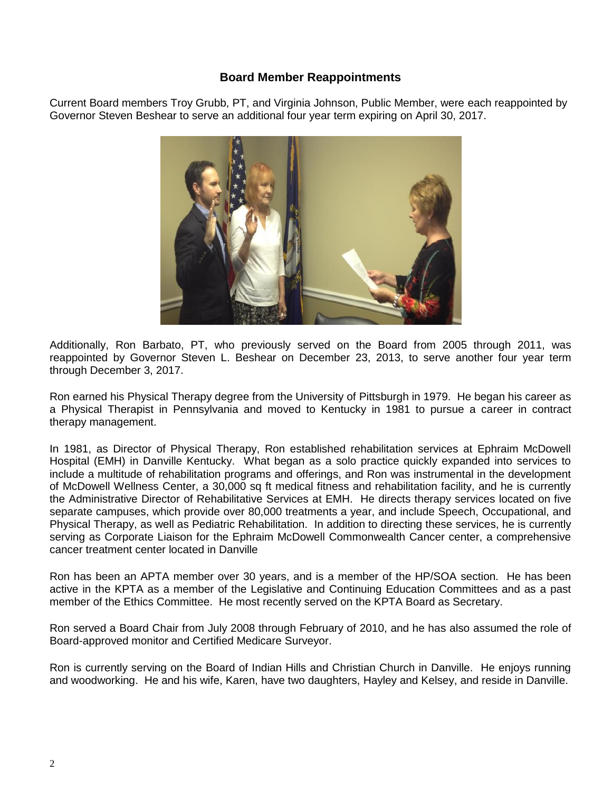### **Board Member Reappointments**

Current Board members Troy Grubb, PT, and Virginia Johnson, Public Member, were each reappointed by Governor Steven Beshear to serve an additional four year term expiring on April 30, 2017.



Additionally, Ron Barbato, PT, who previously served on the Board from 2005 through 2011, was reappointed by Governor Steven L. Beshear on December 23, 2013, to serve another four year term through December 3, 2017.

Ron earned his Physical Therapy degree from the University of Pittsburgh in 1979. He began his career as a Physical Therapist in Pennsylvania and moved to Kentucky in 1981 to pursue a career in contract therapy management.

In 1981, as Director of Physical Therapy, Ron established rehabilitation services at Ephraim McDowell Hospital (EMH) in Danville Kentucky. What began as a solo practice quickly expanded into services to include a multitude of rehabilitation programs and offerings, and Ron was instrumental in the development of McDowell Wellness Center, a 30,000 sq ft medical fitness and rehabilitation facility, and he is currently the Administrative Director of Rehabilitative Services at EMH. He directs therapy services located on five separate campuses, which provide over 80,000 treatments a year, and include Speech, Occupational, and Physical Therapy, as well as Pediatric Rehabilitation. In addition to directing these services, he is currently serving as Corporate Liaison for the Ephraim McDowell Commonwealth Cancer center, a comprehensive cancer treatment center located in Danville

Ron has been an APTA member over 30 years, and is a member of the HP/SOA section. He has been active in the KPTA as a member of the Legislative and Continuing Education Committees and as a past member of the Ethics Committee. He most recently served on the KPTA Board as Secretary.

Ron served a Board Chair from July 2008 through February of 2010, and he has also assumed the role of Board-approved monitor and Certified Medicare Surveyor.

Ron is currently serving on the Board of Indian Hills and Christian Church in Danville. He enjoys running and woodworking. He and his wife, Karen, have two daughters, Hayley and Kelsey, and reside in Danville.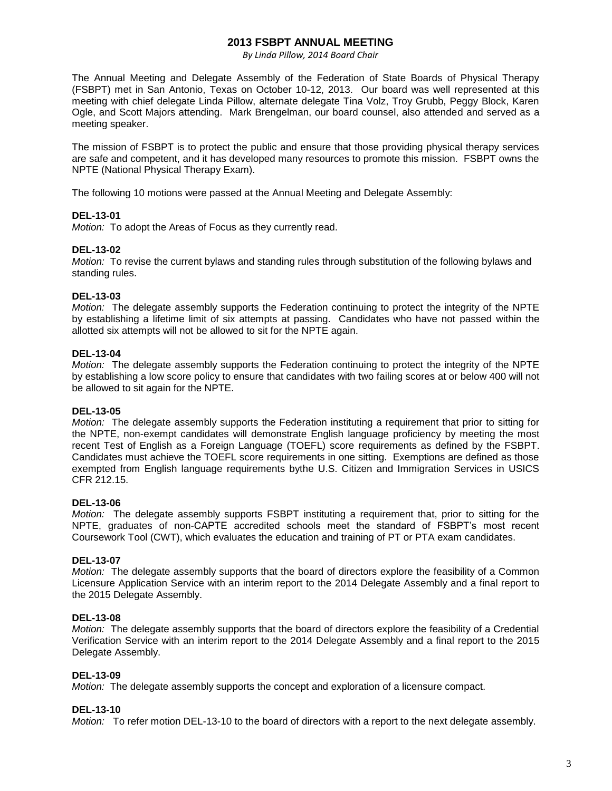#### **2013 FSBPT ANNUAL MEETING**

*By Linda Pillow, 2014 Board Chair* 

The Annual Meeting and Delegate Assembly of the Federation of State Boards of Physical Therapy (FSBPT) met in San Antonio, Texas on October 10-12, 2013. Our board was well represented at this meeting with chief delegate Linda Pillow, alternate delegate Tina Volz, Troy Grubb, Peggy Block, Karen Ogle, and Scott Majors attending. Mark Brengelman, our board counsel, also attended and served as a meeting speaker.

The mission of FSBPT is to protect the public and ensure that those providing physical therapy services are safe and competent, and it has developed many resources to promote this mission. FSBPT owns the NPTE (National Physical Therapy Exam).

The following 10 motions were passed at the Annual Meeting and Delegate Assembly:

#### **DEL-13-01**

*Motion:* To adopt the Areas of Focus as they currently read.

#### **DEL-13-02**

*Motion:* To revise the current bylaws and standing rules through substitution of the following bylaws and standing rules.

#### **DEL-13-03**

*Motion:* The delegate assembly supports the Federation continuing to protect the integrity of the NPTE by establishing a lifetime limit of six attempts at passing. Candidates who have not passed within the allotted six attempts will not be allowed to sit for the NPTE again.

#### **DEL-13-04**

*Motion:* The delegate assembly supports the Federation continuing to protect the integrity of the NPTE by establishing a low score policy to ensure that candidates with two failing scores at or below 400 will not be allowed to sit again for the NPTE.

#### **DEL-13-05**

*Motion:* The delegate assembly supports the Federation instituting a requirement that prior to sitting for the NPTE, non-exempt candidates will demonstrate English language proficiency by meeting the most recent Test of English as a Foreign Language (TOEFL) score requirements as defined by the FSBPT. Candidates must achieve the TOEFL score requirements in one sitting. Exemptions are defined as those exempted from English language requirements bythe U.S. Citizen and Immigration Services in USICS CFR 212.15.

#### **DEL-13-06**

*Motion:* The delegate assembly supports FSBPT instituting a requirement that, prior to sitting for the NPTE, graduates of non-CAPTE accredited schools meet the standard of FSBPT's most recent Coursework Tool (CWT), which evaluates the education and training of PT or PTA exam candidates.

#### **DEL-13-07**

*Motion:* The delegate assembly supports that the board of directors explore the feasibility of a Common Licensure Application Service with an interim report to the 2014 Delegate Assembly and a final report to the 2015 Delegate Assembly.

#### **DEL-13-08**

*Motion:* The delegate assembly supports that the board of directors explore the feasibility of a Credential Verification Service with an interim report to the 2014 Delegate Assembly and a final report to the 2015 Delegate Assembly.

#### **DEL-13-09**

*Motion:* The delegate assembly supports the concept and exploration of a licensure compact.

#### **DEL-13-10**

*Motion:* To refer motion DEL-13-10 to the board of directors with a report to the next delegate assembly.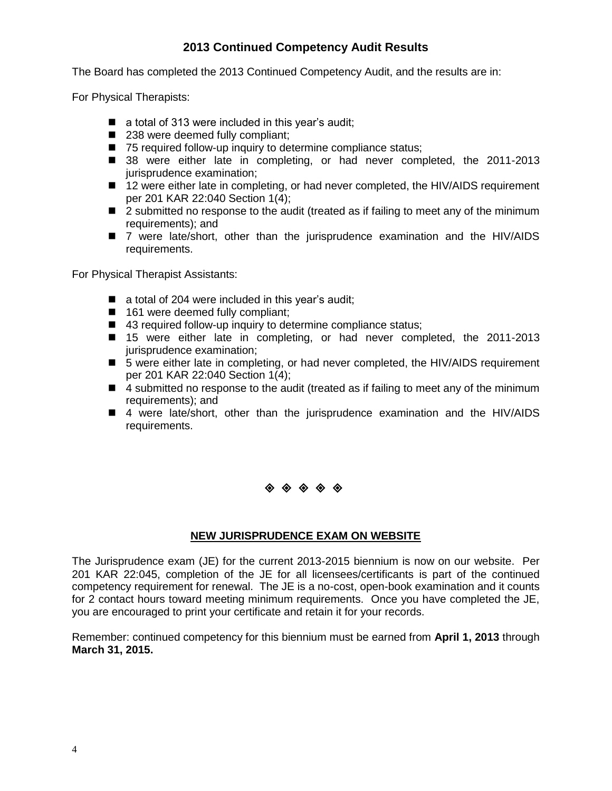# **2013 Continued Competency Audit Results**

The Board has completed the 2013 Continued Competency Audit, and the results are in:

For Physical Therapists:

- a total of 313 were included in this year's audit;
- 238 were deemed fully compliant;
- 75 required follow-up inquiry to determine compliance status;
- 38 were either late in completing, or had never completed, the 2011-2013 jurisprudence examination;
- 12 were either late in completing, or had never completed, the HIV/AIDS requirement per 201 KAR 22:040 Section 1(4);
- 2 submitted no response to the audit (treated as if failing to meet any of the minimum requirements); and
- 7 were late/short, other than the jurisprudence examination and the HIV/AIDS requirements.

For Physical Therapist Assistants:

- a total of 204 were included in this year's audit;
- 161 were deemed fully compliant;
- 43 required follow-up inquiry to determine compliance status;
- 15 were either late in completing, or had never completed, the 2011-2013 jurisprudence examination;
- 5 were either late in completing, or had never completed, the HIV/AIDS requirement per 201 KAR 22:040 Section 1(4);
- 4 submitted no response to the audit (treated as if failing to meet any of the minimum requirements); and
- 4 were late/short, other than the jurisprudence examination and the HIV/AIDS requirements.

# 

#### **NEW JURISPRUDENCE EXAM ON WEBSITE**

The Jurisprudence exam (JE) for the current 2013-2015 biennium is now on our website. Per 201 KAR 22:045, completion of the JE for all licensees/certificants is part of the continued competency requirement for renewal. The JE is a no-cost, open-book examination and it counts for 2 contact hours toward meeting minimum requirements. Once you have completed the JE, you are encouraged to print your certificate and retain it for your records.

Remember: continued competency for this biennium must be earned from **April 1, 2013** through **March 31, 2015.**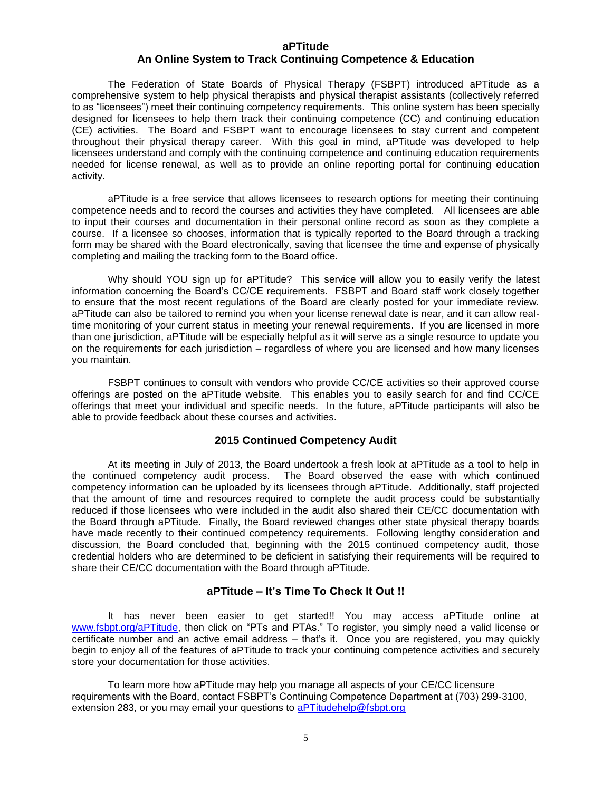#### **aPTitude**

#### **An Online System to Track Continuing Competence & Education**

The Federation of State Boards of Physical Therapy (FSBPT) introduced aPTitude as a comprehensive system to help physical therapists and physical therapist assistants (collectively referred to as "licensees") meet their continuing competency requirements. This online system has been specially designed for licensees to help them track their continuing competence (CC) and continuing education (CE) activities. The Board and FSBPT want to encourage licensees to stay current and competent throughout their physical therapy career. With this goal in mind, aPTitude was developed to help licensees understand and comply with the continuing competence and continuing education requirements needed for license renewal, as well as to provide an online reporting portal for continuing education activity.

aPTitude is a free service that allows licensees to research options for meeting their continuing competence needs and to record the courses and activities they have completed. All licensees are able to input their courses and documentation in their personal online record as soon as they complete a course. If a licensee so chooses, information that is typically reported to the Board through a tracking form may be shared with the Board electronically, saving that licensee the time and expense of physically completing and mailing the tracking form to the Board office.

Why should YOU sign up for aPTitude? This service will allow you to easily verify the latest information concerning the Board's CC/CE requirements. FSBPT and Board staff work closely together to ensure that the most recent regulations of the Board are clearly posted for your immediate review. aPTitude can also be tailored to remind you when your license renewal date is near, and it can allow realtime monitoring of your current status in meeting your renewal requirements. If you are licensed in more than one jurisdiction, aPTitude will be especially helpful as it will serve as a single resource to update you on the requirements for each jurisdiction – regardless of where you are licensed and how many licenses you maintain.

FSBPT continues to consult with vendors who provide CC/CE activities so their approved course offerings are posted on the aPTitude website. This enables you to easily search for and find CC/CE offerings that meet your individual and specific needs. In the future, aPTitude participants will also be able to provide feedback about these courses and activities.

#### **2015 Continued Competency Audit**

At its meeting in July of 2013, the Board undertook a fresh look at aPTitude as a tool to help in the continued competency audit process. The Board observed the ease with which continued competency information can be uploaded by its licensees through aPTitude. Additionally, staff projected that the amount of time and resources required to complete the audit process could be substantially reduced if those licensees who were included in the audit also shared their CE/CC documentation with the Board through aPTitude. Finally, the Board reviewed changes other state physical therapy boards have made recently to their continued competency requirements. Following lengthy consideration and discussion, the Board concluded that, beginning with the 2015 continued competency audit, those credential holders who are determined to be deficient in satisfying their requirements will be required to share their CE/CC documentation with the Board through aPTitude.

#### **aPTitude – It's Time To Check It Out !!**

It has never been easier to get started!! You may access aPTitude online at [www.fsbpt.org/aPTitude,](http://www.fsbpt.org/aPTitude) then click on "PTs and PTAs." To register, you simply need a valid license or certificate number and an active email address – that's it. Once you are registered, you may quickly begin to enjoy all of the features of aPTitude to track your continuing competence activities and securely store your documentation for those activities.

To learn more how aPTitude may help you manage all aspects of your CE/CC licensure requirements with the Board, contact FSBPT's Continuing Competence Department at (703) 299-3100, extension 283, or you may email your questions to [aPTitudehelp@fsbpt.org](mailto:aPTitudehelp@fsbpt.org)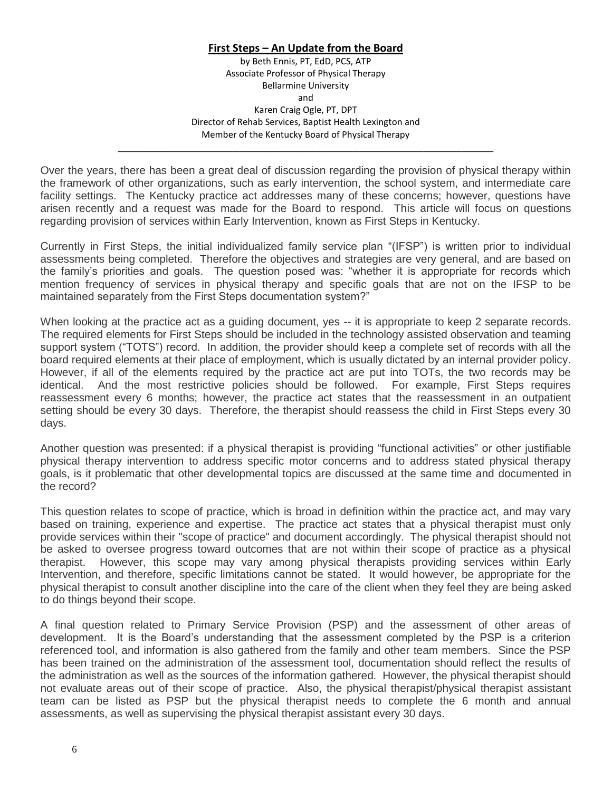#### **First Steps – An Update from the Board**

by Beth Ennis, PT, EdD, PCS, ATP Associate Professor of Physical Therapy Bellarmine University and Karen Craig Ogle, PT, DPT Director of Rehab Services, Baptist Health Lexington and Member of the Kentucky Board of Physical Therapy

Over the years, there has been a great deal of discussion regarding the provision of physical therapy within the framework of other organizations, such as early intervention, the school system, and intermediate care facility settings. The Kentucky practice act addresses many of these concerns; however, questions have arisen recently and a request was made for the Board to respond. This article will focus on questions regarding provision of services within Early Intervention, known as First Steps in Kentucky.

**\_\_\_\_\_\_\_\_\_\_\_\_\_\_\_\_\_\_\_\_\_\_\_\_\_\_\_\_\_\_\_\_\_\_\_\_\_\_\_\_\_\_\_\_\_\_\_\_\_\_\_\_\_\_\_\_\_\_\_**

Currently in First Steps, the initial individualized family service plan "(IFSP") is written prior to individual assessments being completed. Therefore the objectives and strategies are very general, and are based on the family's priorities and goals. The question posed was: "whether it is appropriate for records which mention frequency of services in physical therapy and specific goals that are not on the IFSP to be maintained separately from the First Steps documentation system?"

When looking at the practice act as a guiding document, yes -- it is appropriate to keep 2 separate records. The required elements for First Steps should be included in the technology assisted observation and teaming support system ("TOTS") record. In addition, the provider should keep a complete set of records with all the board required elements at their place of employment, which is usually dictated by an internal provider policy. However, if all of the elements required by the practice act are put into TOTs, the two records may be identical. And the most restrictive policies should be followed. For example, First Steps requires reassessment every 6 months; however, the practice act states that the reassessment in an outpatient setting should be every 30 days. Therefore, the therapist should reassess the child in First Steps every 30 days.

Another question was presented: if a physical therapist is providing "functional activities" or other justifiable physical therapy intervention to address specific motor concerns and to address stated physical therapy goals, is it problematic that other developmental topics are discussed at the same time and documented in the record?

This question relates to scope of practice, which is broad in definition within the practice act, and may vary based on training, experience and expertise. The practice act states that a physical therapist must only provide services within their "scope of practice" and document accordingly. The physical therapist should not be asked to oversee progress toward outcomes that are not within their scope of practice as a physical therapist. However, this scope may vary among physical therapists providing services within Early Intervention, and therefore, specific limitations cannot be stated. It would however, be appropriate for the physical therapist to consult another discipline into the care of the client when they feel they are being asked to do things beyond their scope.

A final question related to Primary Service Provision (PSP) and the assessment of other areas of development. It is the Board's understanding that the assessment completed by the PSP is a criterion referenced tool, and information is also gathered from the family and other team members. Since the PSP has been trained on the administration of the assessment tool, documentation should reflect the results of the administration as well as the sources of the information gathered. However, the physical therapist should not evaluate areas out of their scope of practice. Also, the physical therapist/physical therapist assistant team can be listed as PSP but the physical therapist needs to complete the 6 month and annual assessments, as well as supervising the physical therapist assistant every 30 days.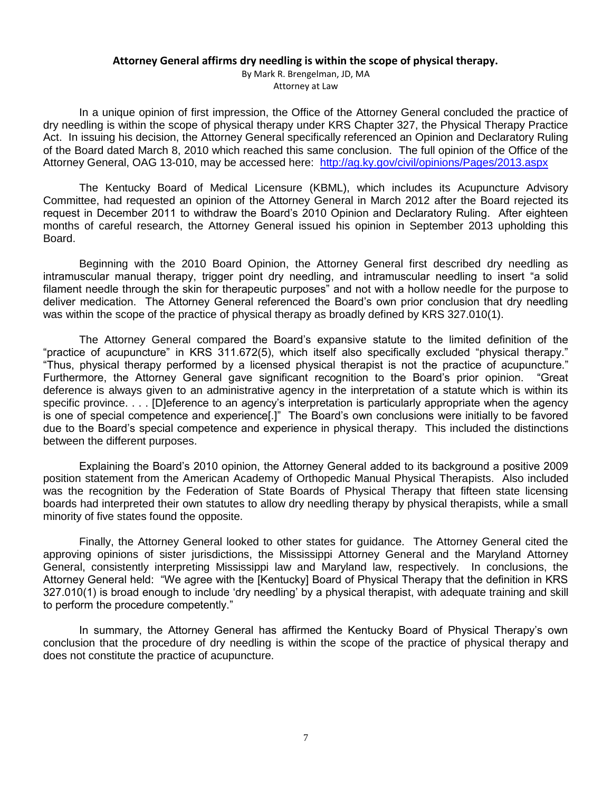#### **Attorney General affirms dry needling is within the scope of physical therapy.**

By Mark R. Brengelman, JD, MA Attorney at Law

In a unique opinion of first impression, the Office of the Attorney General concluded the practice of dry needling is within the scope of physical therapy under KRS Chapter 327, the Physical Therapy Practice Act. In issuing his decision, the Attorney General specifically referenced an Opinion and Declaratory Ruling of the Board dated March 8, 2010 which reached this same conclusion. The full opinion of the Office of the Attorney General, OAG 13-010, may be accessed here: <http://ag.ky.gov/civil/opinions/Pages/2013.aspx>

The Kentucky Board of Medical Licensure (KBML), which includes its Acupuncture Advisory Committee, had requested an opinion of the Attorney General in March 2012 after the Board rejected its request in December 2011 to withdraw the Board's 2010 Opinion and Declaratory Ruling. After eighteen months of careful research, the Attorney General issued his opinion in September 2013 upholding this Board.

Beginning with the 2010 Board Opinion, the Attorney General first described dry needling as intramuscular manual therapy, trigger point dry needling, and intramuscular needling to insert "a solid filament needle through the skin for therapeutic purposes" and not with a hollow needle for the purpose to deliver medication. The Attorney General referenced the Board's own prior conclusion that dry needling was within the scope of the practice of physical therapy as broadly defined by KRS 327.010(1).

The Attorney General compared the Board's expansive statute to the limited definition of the "practice of acupuncture" in KRS 311.672(5), which itself also specifically excluded "physical therapy." "Thus, physical therapy performed by a licensed physical therapist is not the practice of acupuncture." Furthermore, the Attorney General gave significant recognition to the Board's prior opinion. "Great deference is always given to an administrative agency in the interpretation of a statute which is within its specific province. . . . [D]eference to an agency's interpretation is particularly appropriate when the agency is one of special competence and experience[.]" The Board's own conclusions were initially to be favored due to the Board's special competence and experience in physical therapy. This included the distinctions between the different purposes.

Explaining the Board's 2010 opinion, the Attorney General added to its background a positive 2009 position statement from the American Academy of Orthopedic Manual Physical Therapists. Also included was the recognition by the Federation of State Boards of Physical Therapy that fifteen state licensing boards had interpreted their own statutes to allow dry needling therapy by physical therapists, while a small minority of five states found the opposite.

Finally, the Attorney General looked to other states for guidance. The Attorney General cited the approving opinions of sister jurisdictions, the Mississippi Attorney General and the Maryland Attorney General, consistently interpreting Mississippi law and Maryland law, respectively. In conclusions, the Attorney General held: "We agree with the [Kentucky] Board of Physical Therapy that the definition in KRS 327.010(1) is broad enough to include 'dry needling' by a physical therapist, with adequate training and skill to perform the procedure competently."

In summary, the Attorney General has affirmed the Kentucky Board of Physical Therapy's own conclusion that the procedure of dry needling is within the scope of the practice of physical therapy and does not constitute the practice of acupuncture.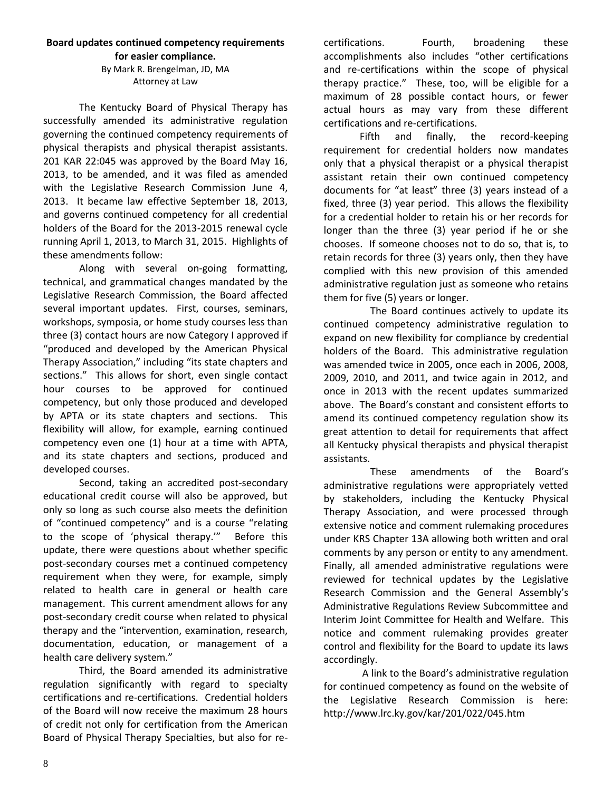#### **Board updates continued competency requirements for easier compliance.**

#### By Mark R. Brengelman, JD, MA Attorney at Law

The Kentucky Board of Physical Therapy has successfully amended its administrative regulation governing the continued competency requirements of physical therapists and physical therapist assistants. 201 KAR 22:045 was approved by the Board May 16, 2013, to be amended, and it was filed as amended with the Legislative Research Commission June 4, 2013. It became law effective September 18, 2013, and governs continued competency for all credential holders of the Board for the 2013-2015 renewal cycle running April 1, 2013, to March 31, 2015. Highlights of these amendments follow:

Along with several on-going formatting, technical, and grammatical changes mandated by the Legislative Research Commission, the Board affected several important updates. First, courses, seminars, workshops, symposia, or home study courses less than three (3) contact hours are now Category I approved if "produced and developed by the American Physical Therapy Association," including "its state chapters and sections." This allows for short, even single contact hour courses to be approved for continued competency, but only those produced and developed by APTA or its state chapters and sections. This flexibility will allow, for example, earning continued competency even one (1) hour at a time with APTA, and its state chapters and sections, produced and developed courses.

Second, taking an accredited post-secondary educational credit course will also be approved, but only so long as such course also meets the definition of "continued competency" and is a course "relating to the scope of 'physical therapy.'" Before this update, there were questions about whether specific post-secondary courses met a continued competency requirement when they were, for example, simply related to health care in general or health care management. This current amendment allows for any post-secondary credit course when related to physical therapy and the "intervention, examination, research, documentation, education, or management of a health care delivery system."

Third, the Board amended its administrative regulation significantly with regard to specialty certifications and re-certifications. Credential holders of the Board will now receive the maximum 28 hours of credit not only for certification from the American Board of Physical Therapy Specialties, but also for recertifications. Fourth, broadening these accomplishments also includes "other certifications and re-certifications within the scope of physical therapy practice." These, too, will be eligible for a maximum of 28 possible contact hours, or fewer actual hours as may vary from these different certifications and re-certifications.

Fifth and finally, the record-keeping requirement for credential holders now mandates only that a physical therapist or a physical therapist assistant retain their own continued competency documents for "at least" three (3) years instead of a fixed, three (3) year period. This allows the flexibility for a credential holder to retain his or her records for longer than the three (3) year period if he or she chooses. If someone chooses not to do so, that is, to retain records for three (3) years only, then they have complied with this new provision of this amended administrative regulation just as someone who retains them for five (5) years or longer.

The Board continues actively to update its continued competency administrative regulation to expand on new flexibility for compliance by credential holders of the Board. This administrative regulation was amended twice in 2005, once each in 2006, 2008, 2009, 2010, and 2011, and twice again in 2012, and once in 2013 with the recent updates summarized above. The Board's constant and consistent efforts to amend its continued competency regulation show its great attention to detail for requirements that affect all Kentucky physical therapists and physical therapist assistants.

These amendments of the Board's administrative regulations were appropriately vetted by stakeholders, including the Kentucky Physical Therapy Association, and were processed through extensive notice and comment rulemaking procedures under KRS Chapter 13A allowing both written and oral comments by any person or entity to any amendment. Finally, all amended administrative regulations were reviewed for technical updates by the Legislative Research Commission and the General Assembly's Administrative Regulations Review Subcommittee and Interim Joint Committee for Health and Welfare. This notice and comment rulemaking provides greater control and flexibility for the Board to update its laws accordingly.

A link to the Board's administrative regulation for continued competency as found on the website of the Legislative Research Commission is here: http://www.lrc.ky.gov/kar/201/022/045.htm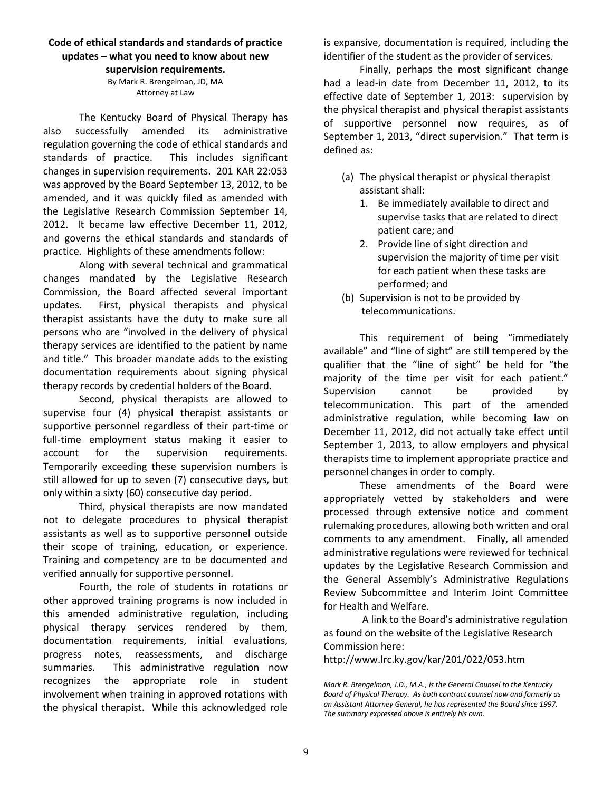#### **Code of ethical standards and standards of practice updates – what you need to know about new supervision requirements.**

By Mark R. Brengelman, JD, MA Attorney at Law

The Kentucky Board of Physical Therapy has also successfully amended its administrative regulation governing the code of ethical standards and standards of practice. This includes significant changes in supervision requirements. 201 KAR 22:053 was approved by the Board September 13, 2012, to be amended, and it was quickly filed as amended with the Legislative Research Commission September 14, 2012. It became law effective December 11, 2012, and governs the ethical standards and standards of practice. Highlights of these amendments follow:

Along with several technical and grammatical changes mandated by the Legislative Research Commission, the Board affected several important updates. First, physical therapists and physical therapist assistants have the duty to make sure all persons who are "involved in the delivery of physical therapy services are identified to the patient by name and title." This broader mandate adds to the existing documentation requirements about signing physical therapy records by credential holders of the Board.

Second, physical therapists are allowed to supervise four (4) physical therapist assistants or supportive personnel regardless of their part-time or full-time employment status making it easier to account for the supervision requirements. Temporarily exceeding these supervision numbers is still allowed for up to seven (7) consecutive days, but only within a sixty (60) consecutive day period.

Third, physical therapists are now mandated not to delegate procedures to physical therapist assistants as well as to supportive personnel outside their scope of training, education, or experience. Training and competency are to be documented and verified annually for supportive personnel.

Fourth, the role of students in rotations or other approved training programs is now included in this amended administrative regulation, including physical therapy services rendered by them, documentation requirements, initial evaluations, progress notes, reassessments, and discharge summaries. This administrative regulation now recognizes the appropriate role in student involvement when training in approved rotations with the physical therapist. While this acknowledged role

is expansive, documentation is required, including the identifier of the student as the provider of services.

Finally, perhaps the most significant change had a lead-in date from December 11, 2012, to its effective date of September 1, 2013: supervision by the physical therapist and physical therapist assistants of supportive personnel now requires, as of September 1, 2013, "direct supervision." That term is defined as:

- (a) The physical therapist or physical therapist assistant shall:
	- 1. Be immediately available to direct and supervise tasks that are related to direct patient care; and
	- 2. Provide line of sight direction and supervision the majority of time per visit for each patient when these tasks are performed; and
- (b) Supervision is not to be provided by telecommunications.

This requirement of being "immediately available" and "line of sight" are still tempered by the qualifier that the "line of sight" be held for "the majority of the time per visit for each patient." Supervision cannot be provided by telecommunication. This part of the amended administrative regulation, while becoming law on December 11, 2012, did not actually take effect until September 1, 2013, to allow employers and physical therapists time to implement appropriate practice and personnel changes in order to comply.

These amendments of the Board were appropriately vetted by stakeholders and were processed through extensive notice and comment rulemaking procedures, allowing both written and oral comments to any amendment. Finally, all amended administrative regulations were reviewed for technical updates by the Legislative Research Commission and the General Assembly's Administrative Regulations Review Subcommittee and Interim Joint Committee for Health and Welfare.

A link to the Board's administrative regulation as found on the website of the Legislative Research Commission here:

http://www.lrc.ky.gov/kar/201/022/053.htm

*Mark R. Brengelman, J.D., M.A., is the General Counsel to the Kentucky Board of Physical Therapy. As both contract counsel now and formerly as an Assistant Attorney General, he has represented the Board since 1997. The summary expressed above is entirely his own.*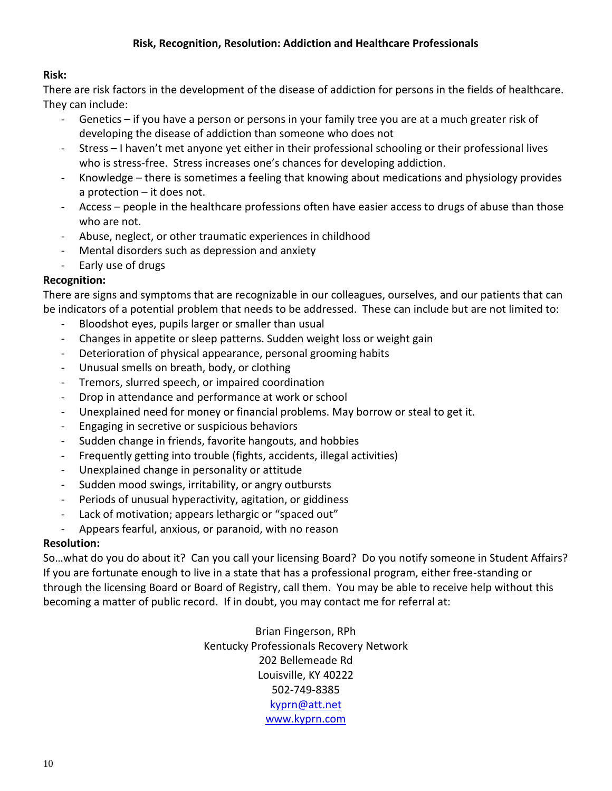### **Risk:**

There are risk factors in the development of the disease of addiction for persons in the fields of healthcare. They can include:

- Genetics if you have a person or persons in your family tree you are at a much greater risk of developing the disease of addiction than someone who does not
- Stress I haven't met anyone yet either in their professional schooling or their professional lives who is stress-free. Stress increases one's chances for developing addiction.
- Knowledge there is sometimes a feeling that knowing about medications and physiology provides a protection – it does not.
- Access people in the healthcare professions often have easier access to drugs of abuse than those who are not.
- Abuse, neglect, or other traumatic experiences in childhood
- Mental disorders such as depression and anxiety
- Early use of drugs

### **Recognition:**

There are signs and symptoms that are recognizable in our colleagues, ourselves, and our patients that can be indicators of a potential problem that needs to be addressed. These can include but are not limited to:

- Bloodshot eyes, pupils larger or smaller than usual
- Changes in appetite or sleep patterns. Sudden weight loss or weight gain
- Deterioration of physical appearance, personal grooming habits
- Unusual smells on breath, body, or clothing
- Tremors, slurred speech, or impaired coordination
- Drop in attendance and performance at work or school
- Unexplained need for money or financial problems. May borrow or steal to get it.
- Engaging in secretive or suspicious behaviors
- Sudden change in friends, favorite hangouts, and hobbies
- Frequently getting into trouble (fights, accidents, illegal activities)
- Unexplained change in personality or attitude
- Sudden mood swings, irritability, or angry outbursts
- Periods of unusual hyperactivity, agitation, or giddiness
- Lack of motivation; appears lethargic or "spaced out"
- Appears fearful, anxious, or paranoid, with no reason

### **Resolution:**

So…what do you do about it? Can you call your licensing Board? Do you notify someone in Student Affairs? If you are fortunate enough to live in a state that has a professional program, either free-standing or through the licensing Board or Board of Registry, call them. You may be able to receive help without this becoming a matter of public record. If in doubt, you may contact me for referral at:

> Brian Fingerson, RPh Kentucky Professionals Recovery Network 202 Bellemeade Rd Louisville, KY 40222 502-749-8385 [kyprn@att.net](mailto:kyprn@att.net) [www.kyprn.com](http://www.kyprn.com/)